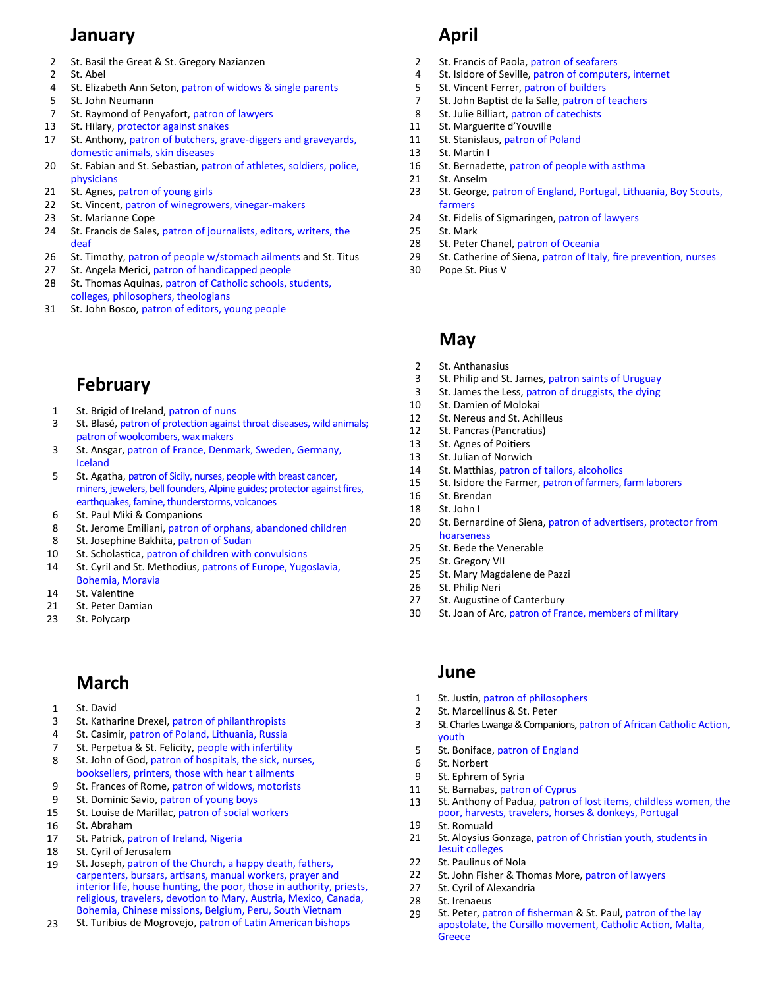#### **January**

- 2 St. Basil the Great & St. Gregory Nazianzen
- 2 St. Abel
- 4 St. Elizabeth Ann Seton, patron of widows & single parents
- 5 St. John Neumann
- 7 St. Raymond of Penyafort, patron of lawyers
- 13 St. Hilary, protector against snakes
- 17 St. Anthony, patron of butchers, grave-diggers and graveyards, domestic animals, skin diseases
- 20 St. Fabian and St. Sebastian, patron of athletes, soldiers, police, physicians
- 21 St. Agnes, patron of young girls
- 22 St. Vincent, patron of winegrowers, vinegar-makers
- 23 St. Marianne Cope
- 24 St. Francis de Sales, patron of journalists, editors, writers, the deaf
- 26 St. Timothy, patron of people w/stomach ailments and St. Titus
- 27 St. Angela Merici, patron of handicapped people
- 28 St. Thomas Aquinas, patron of Catholic schools, students, colleges, philosophers, theologians
- 31 St. John Bosco, patron of editors, young people

# **February**

- 1 St. Brigid of Ireland, patron of nuns
- 3 St. Blasé, patron of protection against throat diseases, wild animals; patron of woolcombers, wax makers
- 3 St. Ansgar, patron of France, Denmark, Sweden, Germany, Iceland
- 5 St. Agatha, patron of Sicily, nurses, people with breast cancer, miners, jewelers, bell founders, Alpine guides; protector against fires, earthquakes, famine, thunderstorms, volcanoes
- 6 St. Paul Miki & Companions
- 8 St. Jerome Emiliani, patron of orphans, abandoned children
- 8 St. Josephine Bakhita, patron of Sudan
- 10 St. Scholastica, patron of children with convulsions
- 14 St. Cyril and St. Methodius, patrons of Europe, Yugoslavia, Bohemia, Moravia
- 14 St. Valentine
- 21 St. Peter Damian
- 23 St. Polycarp

# **March**

- 1 St. David
- 3 St. Katharine Drexel, patron of philanthropists
- 4 St. Casimir, patron of Poland, Lithuania, Russia
- 7 St. Perpetua & St. Felicity, people with infertility
- 8 St. John of God, patron of hospitals, the sick, nurses, booksellers, printers, those with hear t ailments
- 9 St. Frances of Rome, patron of widows, motorists
- 9 St. Dominic Savio, patron of young boys
- 15 St. Louise de Marillac, patron of social workers
- 16 St. Abraham
- 17 St. Patrick, patron of Ireland, Nigeria
- 18 St. Cyril of Jerusalem
- 19 St. Joseph, patron of the Church, a happy death, fathers, carpenters, bursars, artisans, manual workers, prayer and interior life, house hunting, the poor, those in authority, priests, religious, travelers, devotion to Mary, Austria, Mexico, Canada, Bohemia, Chinese missions, Belgium, Peru, South Vietnam
- $23$ St. Turibius de Mogrovejo, patron of Latin American bishops

# **April**

- 2 St. Francis of Paola, patron of seafarers
- 4 St. Isidore of Seville, patron of computers, internet
- 5 St. Vincent Ferrer, patron of builders
- 7 St. John Baptist de la Salle, patron of teachers
- 8 St. Julie Billiart, patron of catechists
- 11 St. Marguerite d'Youville
	- 11 St. Stanislaus, patron of Poland
	- 13 St. Martin I
	- 16 St. Bernadette, patron of people with asthma
- 21 St. Anselm
- 23 St. George, patron of England, Portugal, Lithuania, Boy Scouts, farmers
- 24 St. Fidelis of Sigmaringen, patron of lawyers
- 25 St. Mark
- 28 St. Peter Chanel, patron of Oceania
- 29 St. Catherine of Siena, patron of Italy, fire prevention, nurses
- 30 Pope St. Pius V

#### **May**

- $\mathfrak{p}$ St. Anthanasius
- 3 St. Philip and St. James, patron saints of Uruguay
- 3 St. James the Less, patron of druggists, the dying
- 10 St. Damien of Molokai
- 12 St. Nereus and St. Achilleus
- 12 St. Pancras (Pancratius)
- 13 St. Agnes of Poitiers
- 13 St. Julian of Norwich
- 14 St. Matthias, patron of tailors, alcoholics
- 15 St. Isidore the Farmer, patron of farmers, farm laborers
- 16 St. Brendan
- 18 St. John I
- 20 St. Bernardine of Siena, patron of advertisers, protector from hoarseness
- 25 St. Bede the Venerable
- 25 St. Gregory VII
- 25 St. Mary Magdalene de Pazzi
- 26 St. Philip Neri
- 27 St. Augustine of Canterbury
- 30 St. Joan of Arc, patron of France, members of military

#### **June**

- 1 St. Justin, patron of philosophers
- 2 St. Marcellinus & St. Peter
- 3 St. Charles Lwanga & Companions, patron of African Catholic Action, youth
- 5 St. Boniface, patron of England
- 6 St. Norbert
- 9 St. Ephrem of Syria
- 11 St. Barnabas, patron of Cyprus
- 13 St. Anthony of Padua, patron of lost items, childless women, the poor, harvests, travelers, horses & donkeys, Portugal
- 19 St. Romuald
- 21 St. Aloysius Gonzaga, patron of Christian youth, students in Jesuit colleges
- 22 St. Paulinus of Nola
- 22 St. John Fisher & Thomas More, patron of lawyers
- 27 St. Cyril of Alexandria
- 28 St. Irenaeus
- 29 St. Peter, patron of fisherman & St. Paul, patron of the lay apostolate, the Cursillo movement, Catholic Action, Malta, **Greece**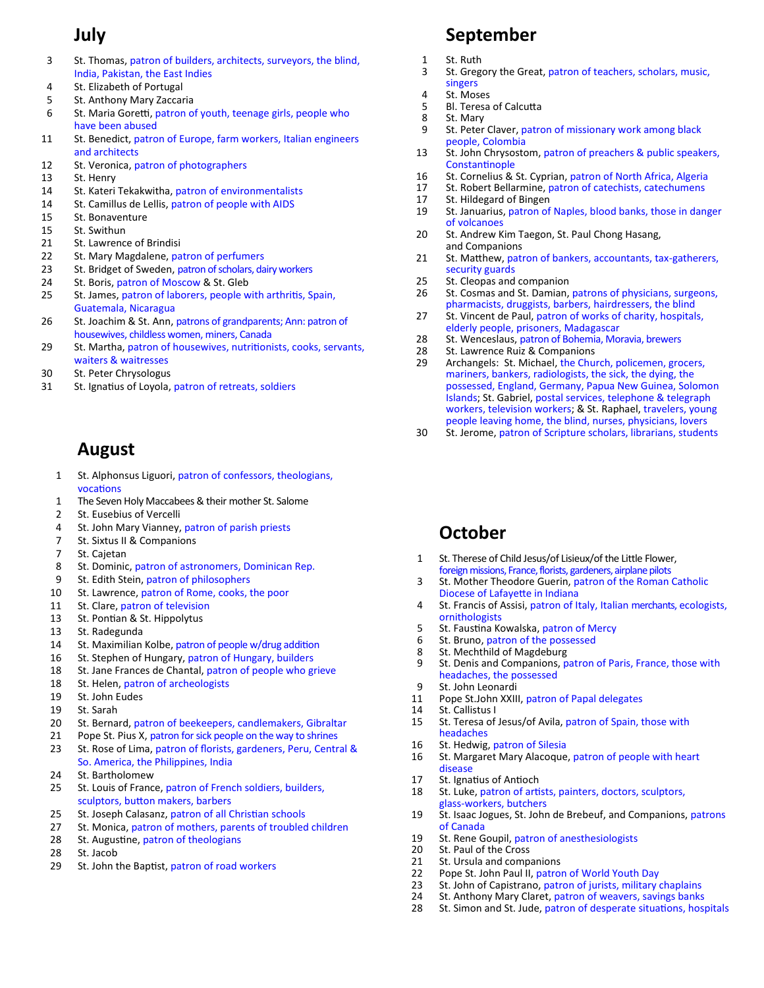# **July**

- 3 St. Thomas, patron of builders, architects, surveyors, the blind, India, Pakistan, the East Indies
- 4 St. Elizabeth of Portugal
- 5 St. Anthony Mary Zaccaria
- 6 St. Maria Goretti, patron of youth, teenage girls, people who have been abused
- 11 St. Benedict, patron of Europe, farm workers, Italian engineers and architects
- 12 St. Veronica, patron of photographers
- 13 St. Henry
- 14 St. Kateri Tekakwitha, patron of environmentalists
- 14 St. Camillus de Lellis, patron of people with AIDS
- 15 St. Bonaventure
- 15 St. Swithun
- 21 St. Lawrence of Brindisi
- 22 St. Mary Magdalene, patron of perfumers
- 23 St. Bridget of Sweden, patron of scholars, dairy workers
- 24 St. Boris, patron of Moscow & St. Gleb
- 25 St. James, patron of laborers, people with arthritis, Spain, Guatemala, Nicaragua
- 26 St. Joachim & St. Ann, patrons of grandparents; Ann: patron of housewives, childless women, miners, Canada
- 29 St. Martha, patron of housewives, nutritionists, cooks, servants, waiters & waitresses
- 30 St. Peter Chrysologus
- 31 St. Ignatius of Loyola, patron of retreats, soldiers

### **August**

- 1 St. Alphonsus Liguori, patron of confessors, theologians, vocations
- 1 The Seven Holy Maccabees & their mother St. Salome
- 2 St. Eusebius of Vercelli
- 4 St. John Mary Vianney, patron of parish priests
- 7 St. Sixtus II & Companions
- 7 St. Cajetan
- 8 St. Dominic, patron of astronomers, Dominican Rep.
- 9 St. Edith Stein, patron of philosophers
- 10 St. Lawrence, patron of Rome, cooks, the poor
- 11 St. Clare, patron of television
- 13 St. Pontian & St. Hippolytus
- 13 St. Radegunda
- 14 St. Maximilian Kolbe, patron of people w/drug addition
- 16 St. Stephen of Hungary, patron of Hungary, builders
- 18 St. Jane Frances de Chantal, patron of people who grieve
- 18 St. Helen, patron of archeologists
- 19 St. John Eudes
- 19 St. Sarah
- 20 St. Bernard, patron of beekeepers, candlemakers, Gibraltar
- 21 23 Pope St. Pius X, patron for sick people on the way to shrines St. Rose of Lima, patron of florists, gardeners, Peru, Central &
- So. America, the Philippines, India
- 24 St. Bartholomew
- 25 St. Louis of France, patron of French soldiers, builders, sculptors, button makers, barbers
- 25 St. Joseph Calasanz, patron of all Christian schools
- 27 St. Monica, patron of mothers, parents of troubled children
- 28 St. Augustine, patron of theologians
- 28 St. Jacob
- 29 St. John the Baptist, patron of road workers

# **September**

- 1 St. Ruth
- 3 St. Gregory the Great, patron of teachers, scholars, music, singers
- 4 St. Moses
- 5 Bl. Teresa of Calcutta
- 8 St. Mary
- 9 St. Peter Claver, patron of missionary work among black people, Colombia
- 13 St. John Chrysostom, patron of preachers & public speakers, Constantinople
- 16 St. Cornelius & St. Cyprian, patron of North Africa, Algeria
- 17 St. Robert Bellarmine, patron of catechists, catechumens
- 17 St. Hildegard of Bingen
- 19 St. Januarius, patron of Naples, blood banks, those in danger of volcanoes
- 20 St. Andrew Kim Taegon, St. Paul Chong Hasang, and Companions
- 21 St. Matthew, patron of bankers, accountants, tax-gatherers, security guards
- 25 St. Cleopas and companion
- 26 St. Cosmas and St. Damian, patrons of physicians, surgeons, pharmacists, druggists, barbers, hairdressers, the blind
- 27 St. Vincent de Paul, patron of works of charity, hospitals, elderly people, prisoners, Madagascar
- 28 St. Wenceslaus, patron of Bohemia, Moravia, brewers
- 28 St. Lawrence Ruiz & Companions
- 29 Archangels: St. Michael, the Church, policemen, grocers, mariners, bankers, radiologists, the sick, the dying, the possessed, England, Germany, Papua New Guinea, Solomon Islands; St. Gabriel, postal services, telephone & telegraph workers, television workers; & St. Raphael, travelers, young people leaving home, the blind, nurses, physicians, lovers
- 30 St. Jerome, patron of Scripture scholars, librarians, students

# **October**

- 1 St. Therese of Child Jesus/of Lisieux/of the Little Flower, foreign missions, France, florists, gardeners, airplane pilots
- 3 St. Mother Theodore Guerin, patron of the Roman Catholic Diocese of Lafayette in Indiana
- 4 St. Francis of Assisi, patron of Italy, Italian merchants, ecologists, ornithologists
- 5 St. Faustina Kowalska, patron of Mercy
- 6 St. Bruno, patron of the possessed
- 8 St. Mechthild of Magdeburg
- 9 St. Denis and Companions, patron of Paris, France, those with headaches, the possessed
- 9 St. John Leonardi
- 11 Pope St.John XXIII, patron of Papal delegates
- 14 St. Callistus I
- 15 St. Teresa of Jesus/of Avila, patron of Spain, those with headaches
- 16 St. Hedwig, patron of Silesia
- 16 St. Margaret Mary Alacoque, patron of people with heart disease
- 17 St. Ignatius of Antioch
- 18 St. Luke, patron of artists, painters, doctors, sculptors, glass-workers, butchers
- 19 St. Isaac Jogues, St. John de Brebeuf, and Companions, patrons of Canada
- 19 St. Rene Goupil, patron of anesthesiologists
- 20 St. Paul of the Cross
- 21 St. Ursula and companions
- $22$ Pope St. John Paul II, patron of World Youth Day
- 23 St. John of Capistrano, patron of jurists, military chaplains
- 24 28 St. Anthony Mary Claret, patron of weavers, savings banks
- St. Simon and St. Jude, patron of desperate situations, hospitals